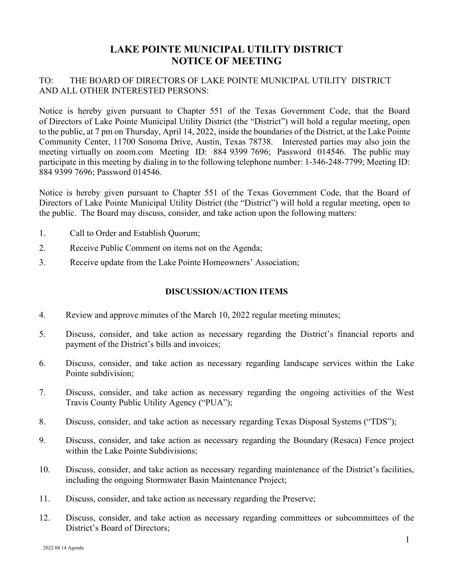## **LAKE POINTE MUNICIPAL UTILITY DISTRICT NOTICE OF MEETING**

## TO: THE BOARD OF DIRECTORS OF LAKE POINTE MUNICIPAL UTILITY DISTRICT AND ALL OTHER INTERESTED PERSONS:

Notice is hereby given pursuant to Chapter 551 of the Texas Government Code, that the Board of Directors of Lake Pointe Municipal Utility District (the "District") will hold a regular meeting, open to the public, at 7 pm on Thursday, April 14, 2022, inside the boundaries of the District, at the Lake Pointe Community Center, 11700 Sonoma Drive, Austin, Texas 78738. Interested parties may also join the meeting virtually on zoom.com Meeting ID: 884 9399 7696; Password 014546. The public may participate in this meeting by dialing in to the following telephone number: 1-346-248-7799; Meeting ID: 884 9399 7696; Password 014546.

Notice is hereby given pursuant to Chapter 551 of the Texas Government Code, that the Board of Directors of Lake Pointe Municipal Utility District (the "District") will hold a regular meeting, open to the public. The Board may discuss, consider, and take action upon the following matters:

- 1. Call to Order and Establish Quorum;
- 2. Receive Public Comment on items not on the Agenda;
- 3. Receive update from the Lake Pointe Homeowners' Association;

## **DISCUSSION/ACTION ITEMS**

- 4. Review and approve minutes of the March 10, 2022 regular meeting minutes;
- 5. Discuss, consider, and take action as necessary regarding the District's financial reports and payment of the District's bills and invoices;
- 6. Discuss, consider, and take action as necessary regarding landscape services within the Lake Pointe subdivision;
- 7. Discuss, consider, and take action as necessary regarding the ongoing activities of the West Travis County Public Utility Agency ("PUA");
- 8. Discuss, consider, and take action as necessary regarding Texas Disposal Systems ("TDS");
- 9. Discuss, consider, and take action as necessary regarding the Boundary (Resaca) Fence project within the Lake Pointe Subdivisions;
- 10. Discuss, consider, and take action as necessary regarding maintenance of the District's facilities, including the ongoing Stormwater Basin Maintenance Project;
- 11. Discuss, consider, and take action as necessary regarding the Preserve;
- 12. Discuss, consider, and take action as necessary regarding committees or subcommittees of the District's Board of Directors;